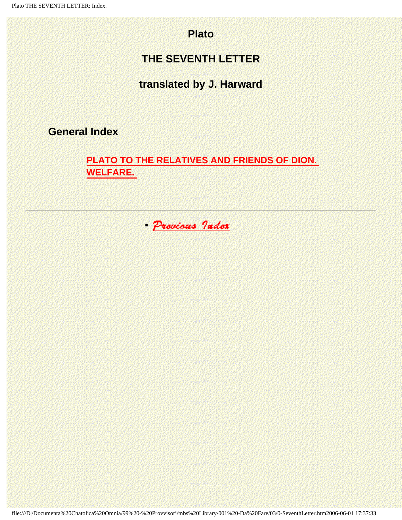### **Plato**

## **THE SEVENTH LETTER**

# **translated by J. Harward**

**General Index** 

**[PLATO TO THE RELATIVES AND FRIENDS OF DION.](#page-1-0)  [WELFARE.](#page-1-0)** 

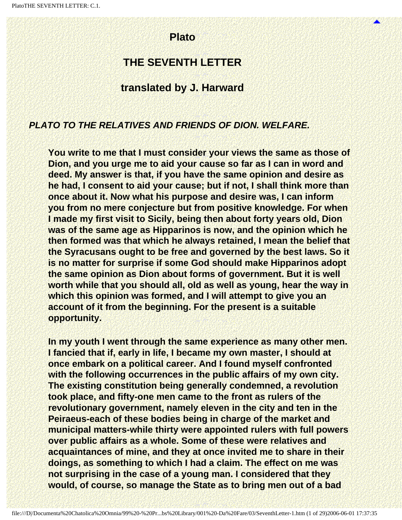#### **Plato**

### **THE SEVENTH LETTER**

#### **translated by J. Harward**

#### <span id="page-1-0"></span>**PLATO TO THE RELATIVES AND FRIENDS OF DION. WELFARE.**

**You write to me that I must consider your views the same as those of Dion, and you urge me to aid your cause so far as I can in word and deed. My answer is that, if you have the same opinion and desire as he had, I consent to aid your cause; but if not, I shall think more than once about it. Now what his purpose and desire was, I can inform you from no mere conjecture but from positive knowledge. For when I made my first visit to Sicily, being then about forty years old, Dion was of the same age as Hipparinos is now, and the opinion which he then formed was that which he always retained, I mean the belief that the Syracusans ought to be free and governed by the best laws. So it is no matter for surprise if some God should make Hipparinos adopt the same opinion as Dion about forms of government. But it is well worth while that you should all, old as well as young, hear the way in which this opinion was formed, and I will attempt to give you an account of it from the beginning. For the present is a suitable opportunity.** 

**In my youth I went through the same experience as many other men. I fancied that if, early in life, I became my own master, I should at once embark on a political career. And I found myself confronted with the following occurrences in the public affairs of my own city. The existing constitution being generally condemned, a revolution took place, and fifty-one men came to the front as rulers of the revolutionary government, namely eleven in the city and ten in the Peiraeus-each of these bodies being in charge of the market and municipal matters-while thirty were appointed rulers with full powers over public affairs as a whole. Some of these were relatives and acquaintances of mine, and they at once invited me to share in their doings, as something to which I had a claim. The effect on me was not surprising in the case of a young man. I considered that they would, of course, so manage the State as to bring men out of a bad**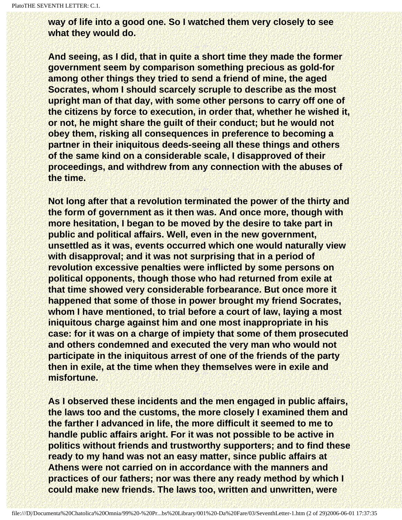**way of life into a good one. So I watched them very closely to see what they would do.** 

**And seeing, as I did, that in quite a short time they made the former government seem by comparison something precious as gold-for among other things they tried to send a friend of mine, the aged Socrates, whom I should scarcely scruple to describe as the most upright man of that day, with some other persons to carry off one of the citizens by force to execution, in order that, whether he wished it, or not, he might share the guilt of their conduct; but he would not obey them, risking all consequences in preference to becoming a partner in their iniquitous deeds-seeing all these things and others of the same kind on a considerable scale, I disapproved of their proceedings, and withdrew from any connection with the abuses of the time.** 

**Not long after that a revolution terminated the power of the thirty and the form of government as it then was. And once more, though with more hesitation, I began to be moved by the desire to take part in public and political affairs. Well, even in the new government, unsettled as it was, events occurred which one would naturally view with disapproval; and it was not surprising that in a period of revolution excessive penalties were inflicted by some persons on political opponents, though those who had returned from exile at that time showed very considerable forbearance. But once more it happened that some of those in power brought my friend Socrates, whom I have mentioned, to trial before a court of law, laying a most iniquitous charge against him and one most inappropriate in his case: for it was on a charge of impiety that some of them prosecuted and others condemned and executed the very man who would not participate in the iniquitous arrest of one of the friends of the party then in exile, at the time when they themselves were in exile and misfortune.** 

**As I observed these incidents and the men engaged in public affairs, the laws too and the customs, the more closely I examined them and the farther I advanced in life, the more difficult it seemed to me to handle public affairs aright. For it was not possible to be active in politics without friends and trustworthy supporters; and to find these ready to my hand was not an easy matter, since public affairs at Athens were not carried on in accordance with the manners and practices of our fathers; nor was there any ready method by which I could make new friends. The laws too, written and unwritten, were**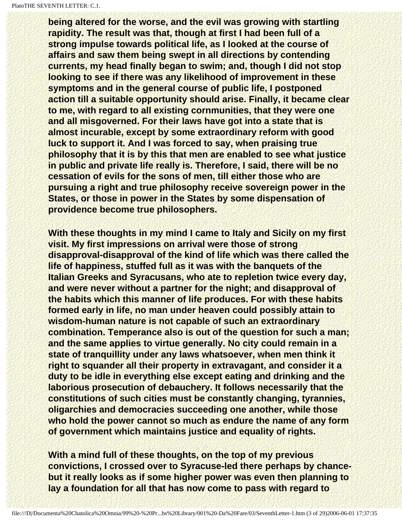**being altered for the worse, and the evil was growing with startling rapidity. The result was that, though at first I had been full of a strong impulse towards political life, as I looked at the course of affairs and saw them being swept in all directions by contending currents, my head finally began to swim; and, though I did not stop looking to see if there was any likelihood of improvement in these symptoms and in the general course of public life, I postponed action till a suitable opportunity should arise. Finally, it became clear to me, with regard to all existing cornmunities, that they were one and all misgoverned. For their laws have got into a state that is almost incurable, except by some extraordinary reform with good luck to support it. And I was forced to say, when praising true philosophy that it is by this that men are enabled to see what justice in public and private life really is. Therefore, I said, there will be no cessation of evils for the sons of men, till either those who are pursuing a right and true philosophy receive sovereign power in the States, or those in power in the States by some dispensation of providence become true philosophers.** 

**With these thoughts in my mind I came to Italy and Sicily on my first visit. My first impressions on arrival were those of strong disapproval-disapproval of the kind of life which was there called the life of happiness, stuffed full as it was with the banquets of the Italian Greeks and Syracusans, who ate to repletion twice every day, and were never without a partner for the night; and disapproval of the habits which this manner of life produces. For with these habits formed early in life, no man under heaven could possibly attain to wisdom-human nature is not capable of such an extraordinary combination. Temperance also is out of the question for such a man; and the same applies to virtue generally. No city could remain in a state of tranquillity under any laws whatsoever, when men think it right to squander all their property in extravagant, and consider it a duty to be idle in everything else except eating and drinking and the laborious prosecution of debauchery. It follows necessarily that the constitutions of such cities must be constantly changing, tyrannies, oligarchies and democracies succeeding one another, while those who hold the power cannot so much as endure the name of any form of government which maintains justice and equality of rights.** 

**With a mind full of these thoughts, on the top of my previous convictions, I crossed over to Syracuse-led there perhaps by chancebut it really looks as if some higher power was even then planning to lay a foundation for all that has now come to pass with regard to**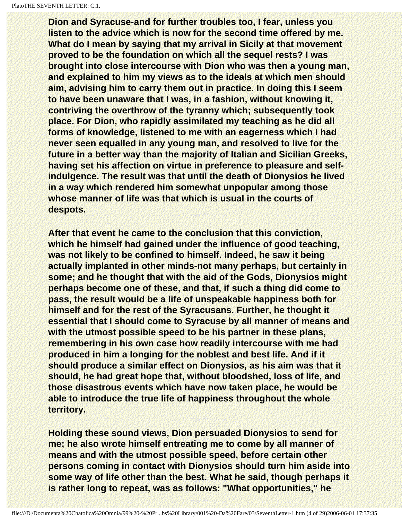**Dion and Syracuse-and for further troubles too, I fear, unless you listen to the advice which is now for the second time offered by me. What do I mean by saying that my arrival in Sicily at that movement proved to be the foundation on which all the sequel rests? I was brought into close intercourse with Dion who was then a young man, and explained to him my views as to the ideals at which men should aim, advising him to carry them out in practice. In doing this I seem to have been unaware that I was, in a fashion, without knowing it, contriving the overthrow of the tyranny which; subsequently took place. For Dion, who rapidly assimilated my teaching as he did all forms of knowledge, listened to me with an eagerness which I had never seen equalled in any young man, and resolved to live for the future in a better way than the majority of Italian and Sicilian Greeks, having set his affection on virtue in preference to pleasure and selfindulgence. The result was that until the death of Dionysios he lived in a way which rendered him somewhat unpopular among those whose manner of life was that which is usual in the courts of despots.** 

**After that event he came to the conclusion that this conviction, which he himself had gained under the influence of good teaching, was not likely to be confined to himself. Indeed, he saw it being actually implanted in other minds-not many perhaps, but certainly in some; and he thought that with the aid of the Gods, Dionysios might perhaps become one of these, and that, if such a thing did come to pass, the result would be a life of unspeakable happiness both for himself and for the rest of the Syracusans. Further, he thought it essential that I should come to Syracuse by all manner of means and with the utmost possible speed to be his partner in these plans, remembering in his own case how readily intercourse with me had produced in him a longing for the noblest and best life. And if it should produce a similar effect on Dionysios, as his aim was that it should, he had great hope that, without bloodshed, loss of life, and those disastrous events which have now taken place, he would be able to introduce the true life of happiness throughout the whole territory.** 

**Holding these sound views, Dion persuaded Dionysios to send for me; he also wrote himself entreating me to come by all manner of means and with the utmost possible speed, before certain other persons coming in contact with Dionysios should turn him aside into some way of life other than the best. What he said, though perhaps it is rather long to repeat, was as follows: "What opportunities," he**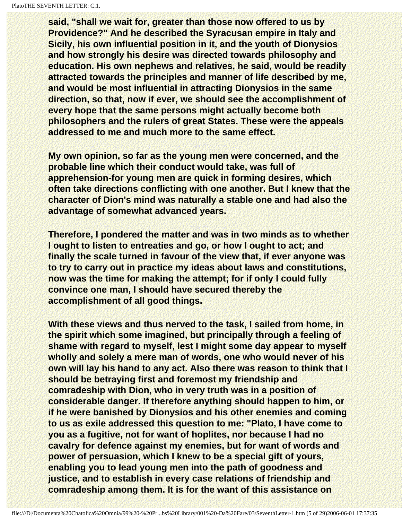**said, "shall we wait for, greater than those now offered to us by Providence?" And he described the Syracusan empire in Italy and Sicily, his own influential position in it, and the youth of Dionysios and how strongly his desire was directed towards philosophy and education. His own nephews and relatives, he said, would be readily attracted towards the principles and manner of life described by me, and would be most influential in attracting Dionysios in the same direction, so that, now if ever, we should see the accomplishment of every hope that the same persons might actually become both philosophers and the rulers of great States. These were the appeals addressed to me and much more to the same effect.** 

**My own opinion, so far as the young men were concerned, and the probable line which their conduct would take, was full of apprehension-for young men are quick in forming desires, which often take directions conflicting with one another. But I knew that the character of Dion's mind was naturally a stable one and had also the advantage of somewhat advanced years.** 

**Therefore, I pondered the matter and was in two minds as to whether I ought to listen to entreaties and go, or how I ought to act; and finally the scale turned in favour of the view that, if ever anyone was to try to carry out in practice my ideas about laws and constitutions, now was the time for making the attempt; for if only I could fully convince one man, I should have secured thereby the accomplishment of all good things.** 

**With these views and thus nerved to the task, I sailed from home, in the spirit which some imagined, but principally through a feeling of shame with regard to myself, lest I might some day appear to myself wholly and solely a mere man of words, one who would never of his own will lay his hand to any act. Also there was reason to think that I should be betraying first and foremost my friendship and comradeship with Dion, who in very truth was in a position of considerable danger. If therefore anything should happen to him, or if he were banished by Dionysios and his other enemies and coming to us as exile addressed this question to me: "Plato, I have come to you as a fugitive, not for want of hoplites, nor because I had no cavalry for defence against my enemies, but for want of words and power of persuasion, which I knew to be a special gift of yours, enabling you to lead young men into the path of goodness and justice, and to establish in every case relations of friendship and comradeship among them. It is for the want of this assistance on**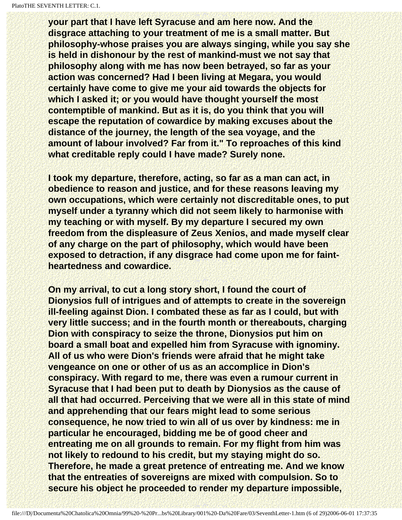**your part that I have left Syracuse and am here now. And the disgrace attaching to your treatment of me is a small matter. But philosophy-whose praises you are always singing, while you say she is held in dishonour by the rest of mankind-must we not say that philosophy along with me has now been betrayed, so far as your action was concerned? Had I been living at Megara, you would certainly have come to give me your aid towards the objects for which I asked it; or you would have thought yourself the most contemptible of mankind. But as it is, do you think that you will escape the reputation of cowardice by making excuses about the distance of the journey, the length of the sea voyage, and the amount of labour involved? Far from it." To reproaches of this kind what creditable reply could I have made? Surely none.** 

**I took my departure, therefore, acting, so far as a man can act, in obedience to reason and justice, and for these reasons leaving my own occupations, which were certainly not discreditable ones, to put myself under a tyranny which did not seem likely to harmonise with my teaching or with myself. By my departure I secured my own freedom from the displeasure of Zeus Xenios, and made myself clear of any charge on the part of philosophy, which would have been exposed to detraction, if any disgrace had come upon me for faintheartedness and cowardice.** 

**On my arrival, to cut a long story short, I found the court of Dionysios full of intrigues and of attempts to create in the sovereign ill-feeling against Dion. I combated these as far as I could, but with very little success; and in the fourth month or thereabouts, charging Dion with conspiracy to seize the throne, Dionysios put him on board a small boat and expelled him from Syracuse with ignominy. All of us who were Dion's friends were afraid that he might take vengeance on one or other of us as an accomplice in Dion's conspiracy. With regard to me, there was even a rumour current in Syracuse that I had been put to death by Dionysios as the cause of all that had occurred. Perceiving that we were all in this state of mind and apprehending that our fears might lead to some serious consequence, he now tried to win all of us over by kindness: me in particular he encouraged, bidding me be of good cheer and entreating me on all grounds to remain. For my flight from him was not likely to redound to his credit, but my staying might do so. Therefore, he made a great pretence of entreating me. And we know that the entreaties of sovereigns are mixed with compulsion. So to secure his object he proceeded to render my departure impossible,**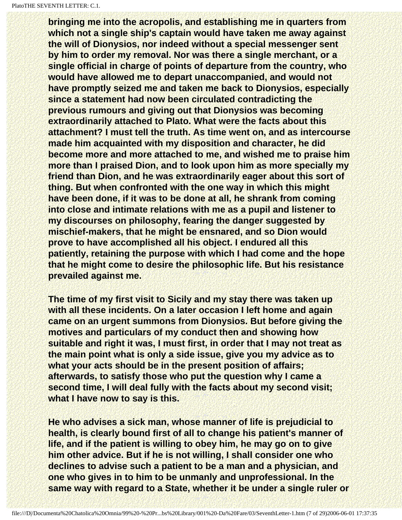**bringing me into the acropolis, and establishing me in quarters from which not a single ship's captain would have taken me away against the will of Dionysios, nor indeed without a special messenger sent by him to order my removal. Nor was there a single merchant, or a single official in charge of points of departure from the country, who would have allowed me to depart unaccompanied, and would not have promptly seized me and taken me back to Dionysios, especially since a statement had now been circulated contradicting the previous rumours and giving out that Dionysios was becoming extraordinarily attached to Plato. What were the facts about this attachment? I must tell the truth. As time went on, and as intercourse made him acquainted with my disposition and character, he did become more and more attached to me, and wished me to praise him more than I praised Dion, and to look upon him as more specially my friend than Dion, and he was extraordinarily eager about this sort of thing. But when confronted with the one way in which this might have been done, if it was to be done at all, he shrank from coming into close and intimate relations with me as a pupil and listener to my discourses on philosophy, fearing the danger suggested by mischief-makers, that he might be ensnared, and so Dion would prove to have accomplished all his object. I endured all this patiently, retaining the purpose with which I had come and the hope that he might come to desire the philosophic life. But his resistance prevailed against me.** 

**The time of my first visit to Sicily and my stay there was taken up with all these incidents. On a later occasion I left home and again came on an urgent summons from Dionysios. But before giving the motives and particulars of my conduct then and showing how suitable and right it was, I must first, in order that I may not treat as the main point what is only a side issue, give you my advice as to what your acts should be in the present position of affairs; afterwards, to satisfy those who put the question why I came a second time, I will deal fully with the facts about my second visit; what I have now to say is this.** 

**He who advises a sick man, whose manner of life is prejudicial to health, is clearly bound first of all to change his patient's manner of life, and if the patient is willing to obey him, he may go on to give him other advice. But if he is not willing, I shall consider one who declines to advise such a patient to be a man and a physician, and one who gives in to him to be unmanly and unprofessional. In the same way with regard to a State, whether it be under a single ruler or**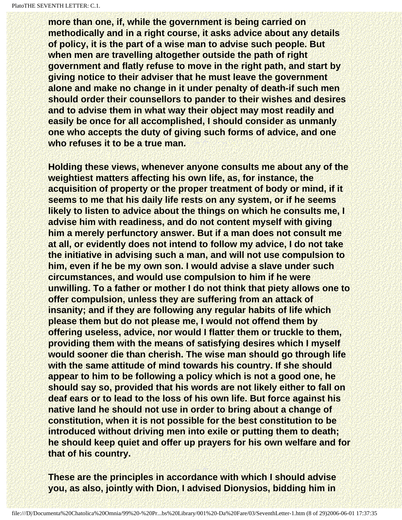**more than one, if, while the government is being carried on methodically and in a right course, it asks advice about any details of policy, it is the part of a wise man to advise such people. But when men are travelling altogether outside the path of right government and flatly refuse to move in the right path, and start by giving notice to their adviser that he must leave the government alone and make no change in it under penalty of death-if such men should order their counsellors to pander to their wishes and desires and to advise them in what way their object may most readily and easily be once for all accomplished, I should consider as unmanly one who accepts the duty of giving such forms of advice, and one who refuses it to be a true man.** 

**Holding these views, whenever anyone consults me about any of the weightiest matters affecting his own life, as, for instance, the acquisition of property or the proper treatment of body or mind, if it seems to me that his daily life rests on any system, or if he seems likely to listen to advice about the things on which he consults me, I advise him with readiness, and do not content myself with giving him a merely perfunctory answer. But if a man does not consult me at all, or evidently does not intend to follow my advice, I do not take the initiative in advising such a man, and will not use compulsion to him, even if he be my own son. I would advise a slave under such circumstances, and would use compulsion to him if he were unwilling. To a father or mother I do not think that piety allows one to offer compulsion, unless they are suffering from an attack of insanity; and if they are following any regular habits of life which please them but do not please me, I would not offend them by offering useless, advice, nor would I flatter them or truckle to them, providing them with the means of satisfying desires which I myself would sooner die than cherish. The wise man should go through life with the same attitude of mind towards his country. If she should appear to him to be following a policy which is not a good one, he should say so, provided that his words are not likely either to fall on deaf ears or to lead to the loss of his own life. But force against his native land he should not use in order to bring about a change of constitution, when it is not possible for the best constitution to be introduced without driving men into exile or putting them to death; he should keep quiet and offer up prayers for his own welfare and for that of his country.** 

**These are the principles in accordance with which I should advise you, as also, jointly with Dion, I advised Dionysios, bidding him in**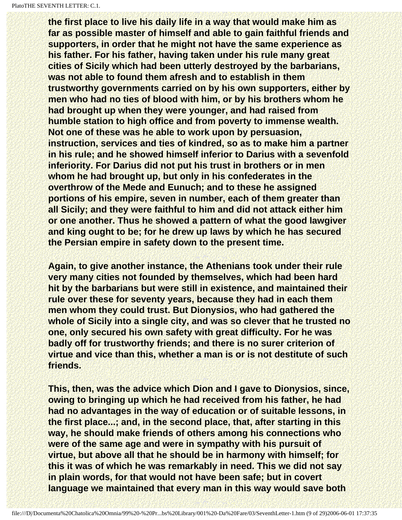**the first place to live his daily life in a way that would make him as far as possible master of himself and able to gain faithful friends and supporters, in order that he might not have the same experience as his father. For his father, having taken under his rule many great cities of Sicily which had been utterly destroyed by the barbarians, was not able to found them afresh and to establish in them trustworthy governments carried on by his own supporters, either by men who had no ties of blood with him, or by his brothers whom he had brought up when they were younger, and had raised from humble station to high office and from poverty to immense wealth. Not one of these was he able to work upon by persuasion, instruction, services and ties of kindred, so as to make him a partner in his rule; and he showed himself inferior to Darius with a sevenfold inferiority. For Darius did not put his trust in brothers or in men whom he had brought up, but only in his confederates in the overthrow of the Mede and Eunuch; and to these he assigned portions of his empire, seven in number, each of them greater than all Sicily; and they were faithful to him and did not attack either him or one another. Thus he showed a pattern of what the good lawgiver and king ought to be; for he drew up laws by which he has secured the Persian empire in safety down to the present time.** 

**Again, to give another instance, the Athenians took under their rule very many cities not founded by themselves, which had been hard hit by the barbarians but were still in existence, and maintained their rule over these for seventy years, because they had in each them men whom they could trust. But Dionysios, who had gathered the whole of Sicily into a single city, and was so clever that he trusted no one, only secured his own safety with great difficulty. For he was badly off for trustworthy friends; and there is no surer criterion of virtue and vice than this, whether a man is or is not destitute of such friends.** 

**This, then, was the advice which Dion and I gave to Dionysios, since, owing to bringing up which he had received from his father, he had had no advantages in the way of education or of suitable lessons, in the first place...; and, in the second place, that, after starting in this way, he should make friends of others among his connections who were of the same age and were in sympathy with his pursuit of virtue, but above all that he should be in harmony with himself; for this it was of which he was remarkably in need. This we did not say in plain words, for that would not have been safe; but in covert language we maintained that every man in this way would save both**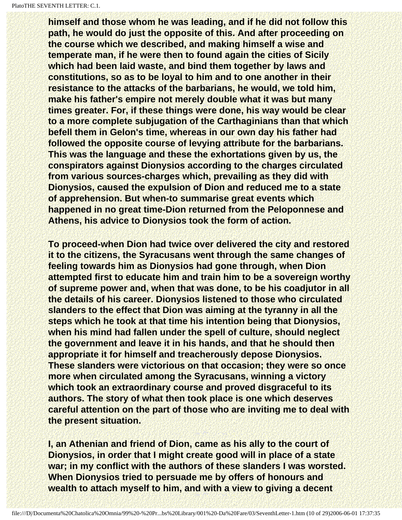**himself and those whom he was leading, and if he did not follow this path, he would do just the opposite of this. And after proceeding on the course which we described, and making himself a wise and temperate man, if he were then to found again the cities of Sicily which had been laid waste, and bind them together by laws and constitutions, so as to be loyal to him and to one another in their resistance to the attacks of the barbarians, he would, we told him, make his father's empire not merely double what it was but many times greater. For, if these things were done, his way would be clear to a more complete subjugation of the Carthaginians than that which befell them in Gelon's time, whereas in our own day his father had followed the opposite course of levying attribute for the barbarians. This was the language and these the exhortations given by us, the conspirators against Dionysios according to the charges circulated from various sources-charges which, prevailing as they did with Dionysios, caused the expulsion of Dion and reduced me to a state of apprehension. But when-to summarise great events which happened in no great time-Dion returned from the Peloponnese and Athens, his advice to Dionysios took the form of action.** 

**To proceed-when Dion had twice over delivered the city and restored it to the citizens, the Syracusans went through the same changes of feeling towards him as Dionysios had gone through, when Dion attempted first to educate him and train him to be a sovereign worthy of supreme power and, when that was done, to be his coadjutor in all the details of his career. Dionysios listened to those who circulated slanders to the effect that Dion was aiming at the tyranny in all the steps which he took at that time his intention being that Dionysios, when his mind had fallen under the spell of culture, should neglect the government and leave it in his hands, and that he should then appropriate it for himself and treacherously depose Dionysios. These slanders were victorious on that occasion; they were so once more when circulated among the Syracusans, winning a victory which took an extraordinary course and proved disgraceful to its authors. The story of what then took place is one which deserves careful attention on the part of those who are inviting me to deal with the present situation.** 

**I, an Athenian and friend of Dion, came as his ally to the court of Dionysios, in order that I might create good will in place of a state war; in my conflict with the authors of these slanders I was worsted. When Dionysios tried to persuade me by offers of honours and wealth to attach myself to him, and with a view to giving a decent**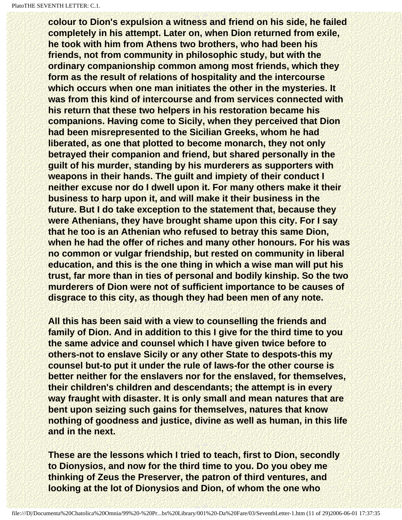**colour to Dion's expulsion a witness and friend on his side, he failed completely in his attempt. Later on, when Dion returned from exile, he took with him from Athens two brothers, who had been his friends, not from community in philosophic study, but with the ordinary companionship common among most friends, which they form as the result of relations of hospitality and the intercourse which occurs when one man initiates the other in the mysteries. It was from this kind of intercourse and from services connected with his return that these two helpers in his restoration became his companions. Having come to Sicily, when they perceived that Dion had been misrepresented to the Sicilian Greeks, whom he had liberated, as one that plotted to become monarch, they not only betrayed their companion and friend, but shared personally in the guilt of his murder, standing by his murderers as supporters with weapons in their hands. The guilt and impiety of their conduct I neither excuse nor do I dwell upon it. For many others make it their business to harp upon it, and will make it their business in the future. But I do take exception to the statement that, because they were Athenians, they have brought shame upon this city. For I say that he too is an Athenian who refused to betray this same Dion, when he had the offer of riches and many other honours. For his was no common or vulgar friendship, but rested on community in liberal education, and this is the one thing in which a wise man will put his trust, far more than in ties of personal and bodily kinship. So the two murderers of Dion were not of sufficient importance to be causes of disgrace to this city, as though they had been men of any note.** 

**All this has been said with a view to counselling the friends and family of Dion. And in addition to this I give for the third time to you the same advice and counsel which I have given twice before to others-not to enslave Sicily or any other State to despots-this my counsel but-to put it under the rule of laws-for the other course is better neither for the enslavers nor for the enslaved, for themselves, their children's children and descendants; the attempt is in every way fraught with disaster. It is only small and mean natures that are bent upon seizing such gains for themselves, natures that know nothing of goodness and justice, divine as well as human, in this life and in the next.** 

**These are the lessons which I tried to teach, first to Dion, secondly to Dionysios, and now for the third time to you. Do you obey me thinking of Zeus the Preserver, the patron of third ventures, and looking at the lot of Dionysios and Dion, of whom the one who**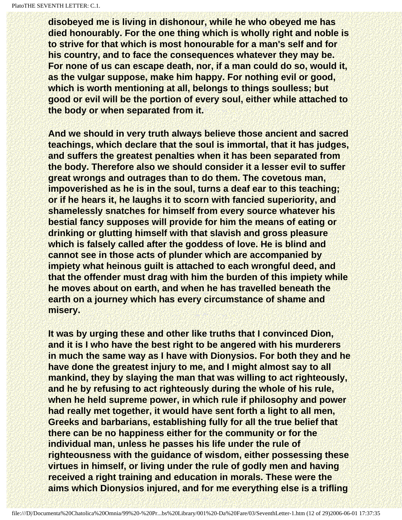**disobeyed me is living in dishonour, while he who obeyed me has died honourably. For the one thing which is wholly right and noble is to strive for that which is most honourable for a man's self and for his country, and to face the consequences whatever they may be. For none of us can escape death, nor, if a man could do so, would it, as the vulgar suppose, make him happy. For nothing evil or good, which is worth mentioning at all, belongs to things soulless; but good or evil will be the portion of every soul, either while attached to the body or when separated from it.** 

**And we should in very truth always believe those ancient and sacred teachings, which declare that the soul is immortal, that it has judges, and suffers the greatest penalties when it has been separated from the body. Therefore also we should consider it a lesser evil to suffer great wrongs and outrages than to do them. The covetous man, impoverished as he is in the soul, turns a deaf ear to this teaching; or if he hears it, he laughs it to scorn with fancied superiority, and shamelessly snatches for himself from every source whatever his bestial fancy supposes will provide for him the means of eating or drinking or glutting himself with that slavish and gross pleasure which is falsely called after the goddess of love. He is blind and cannot see in those acts of plunder which are accompanied by impiety what heinous guilt is attached to each wrongful deed, and that the offender must drag with him the burden of this impiety while he moves about on earth, and when he has travelled beneath the earth on a journey which has every circumstance of shame and misery.** 

**It was by urging these and other like truths that I convinced Dion, and it is I who have the best right to be angered with his murderers in much the same way as I have with Dionysios. For both they and he have done the greatest injury to me, and I might almost say to all mankind, they by slaying the man that was willing to act righteously, and he by refusing to act righteously during the whole of his rule, when he held supreme power, in which rule if philosophy and power had really met together, it would have sent forth a light to all men, Greeks and barbarians, establishing fully for all the true belief that there can be no happiness either for the community or for the individual man, unless he passes his life under the rule of righteousness with the guidance of wisdom, either possessing these virtues in himself, or living under the rule of godly men and having received a right training and education in morals. These were the aims which Dionysios injured, and for me everything else is a trifling**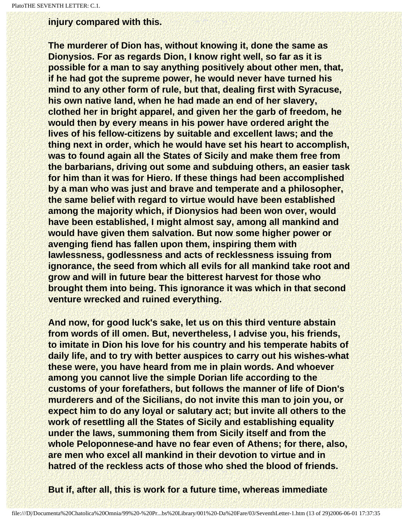#### **injury compared with this.**

**The murderer of Dion has, without knowing it, done the same as Dionysios. For as regards Dion, I know right well, so far as it is possible for a man to say anything positively about other men, that, if he had got the supreme power, he would never have turned his mind to any other form of rule, but that, dealing first with Syracuse, his own native land, when he had made an end of her slavery, clothed her in bright apparel, and given her the garb of freedom, he would then by every means in his power have ordered aright the lives of his fellow-citizens by suitable and excellent laws; and the thing next in order, which he would have set his heart to accomplish, was to found again all the States of Sicily and make them free from the barbarians, driving out some and subduing others, an easier task for him than it was for Hiero. If these things had been accomplished by a man who was just and brave and temperate and a philosopher, the same belief with regard to virtue would have been established among the majority which, if Dionysios had been won over, would have been established, I might almost say, among all mankind and would have given them salvation. But now some higher power or avenging fiend has fallen upon them, inspiring them with lawlessness, godlessness and acts of recklessness issuing from ignorance, the seed from which all evils for all mankind take root and grow and will in future bear the bitterest harvest for those who brought them into being. This ignorance it was which in that second venture wrecked and ruined everything.** 

**And now, for good luck's sake, let us on this third venture abstain from words of ill omen. But, nevertheless, I advise you, his friends, to imitate in Dion his love for his country and his temperate habits of daily life, and to try with better auspices to carry out his wishes-what these were, you have heard from me in plain words. And whoever among you cannot live the simple Dorian life according to the customs of your forefathers, but follows the manner of life of Dion's murderers and of the Sicilians, do not invite this man to join you, or expect him to do any loyal or salutary act; but invite all others to the work of resettling all the States of Sicily and establishing equality under the laws, summoning them from Sicily itself and from the whole Peloponnese-and have no fear even of Athens; for there, also, are men who excel all mankind in their devotion to virtue and in hatred of the reckless acts of those who shed the blood of friends.** 

**But if, after all, this is work for a future time, whereas immediate**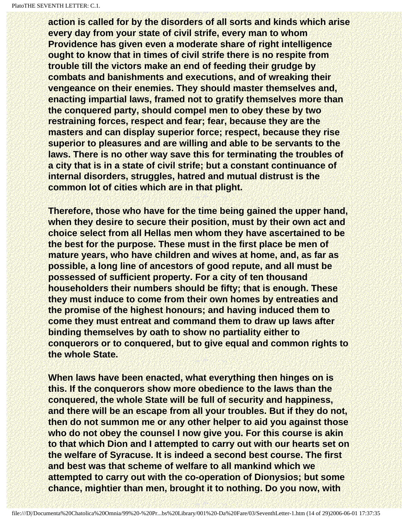**action is called for by the disorders of all sorts and kinds which arise every day from your state of civil strife, every man to whom Providence has given even a moderate share of right intelligence ought to know that in times of civil strife there is no respite from trouble till the victors make an end of feeding their grudge by combats and banishments and executions, and of wreaking their vengeance on their enemies. They should master themselves and, enacting impartial laws, framed not to gratify themselves more than the conquered party, should compel men to obey these by two restraining forces, respect and fear; fear, because they are the masters and can display superior force; respect, because they rise superior to pleasures and are willing and able to be servants to the laws. There is no other way save this for terminating the troubles of a city that is in a state of civil strife; but a constant continuance of internal disorders, struggles, hatred and mutual distrust is the common lot of cities which are in that plight.** 

**Therefore, those who have for the time being gained the upper hand, when they desire to secure their position, must by their own act and choice select from all Hellas men whom they have ascertained to be the best for the purpose. These must in the first place be men of mature years, who have children and wives at home, and, as far as possible, a long line of ancestors of good repute, and all must be possessed of sufficient property. For a city of ten thousand householders their numbers should be fifty; that is enough. These they must induce to come from their own homes by entreaties and the promise of the highest honours; and having induced them to come they must entreat and command them to draw up laws after binding themselves by oath to show no partiality either to conquerors or to conquered, but to give equal and common rights to the whole State.** 

**When laws have been enacted, what everything then hinges on is this. If the conquerors show more obedience to the laws than the conquered, the whole State will be full of security and happiness, and there will be an escape from all your troubles. But if they do not, then do not summon me or any other helper to aid you against those who do not obey the counsel I now give you. For this course is akin to that which Dion and I attempted to carry out with our hearts set on the welfare of Syracuse. It is indeed a second best course. The first and best was that scheme of welfare to all mankind which we attempted to carry out with the co-operation of Dionysios; but some chance, mightier than men, brought it to nothing. Do you now, with**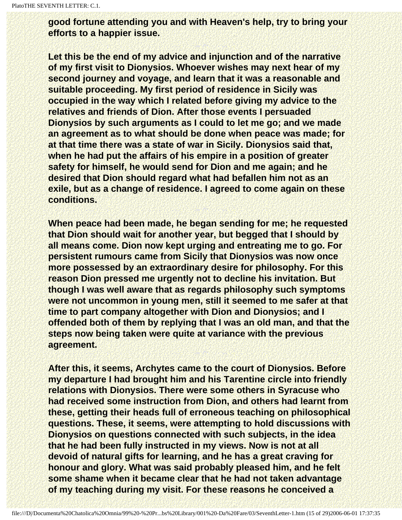**good fortune attending you and with Heaven's help, try to bring your efforts to a happier issue.** 

**Let this be the end of my advice and injunction and of the narrative of my first visit to Dionysios. Whoever wishes may next hear of my second journey and voyage, and learn that it was a reasonable and suitable proceeding. My first period of residence in Sicily was occupied in the way which I related before giving my advice to the relatives and friends of Dion. After those events I persuaded Dionysios by such arguments as I could to let me go; and we made an agreement as to what should be done when peace was made; for at that time there was a state of war in Sicily. Dionysios said that, when he had put the affairs of his empire in a position of greater safety for himself, he would send for Dion and me again; and he desired that Dion should regard what had befallen him not as an exile, but as a change of residence. I agreed to come again on these conditions.** 

**When peace had been made, he began sending for me; he requested that Dion should wait for another year, but begged that I should by all means come. Dion now kept urging and entreating me to go. For persistent rumours came from Sicily that Dionysios was now once more possessed by an extraordinary desire for philosophy. For this reason Dion pressed me urgently not to decline his invitation. But though I was well aware that as regards philosophy such symptoms were not uncommon in young men, still it seemed to me safer at that time to part company altogether with Dion and Dionysios; and I offended both of them by replying that I was an old man, and that the steps now being taken were quite at variance with the previous agreement.** 

**After this, it seems, Archytes came to the court of Dionysios. Before my departure I had brought him and his Tarentine circle into friendly relations with Dionysios. There were some others in Syracuse who had received some instruction from Dion, and others had learnt from these, getting their heads full of erroneous teaching on philosophical questions. These, it seems, were attempting to hold discussions with Dionysios on questions connected with such subjects, in the idea that he had been fully instructed in my views. Now is not at all devoid of natural gifts for learning, and he has a great craving for honour and glory. What was said probably pleased him, and he felt some shame when it became clear that he had not taken advantage of my teaching during my visit. For these reasons he conceived a**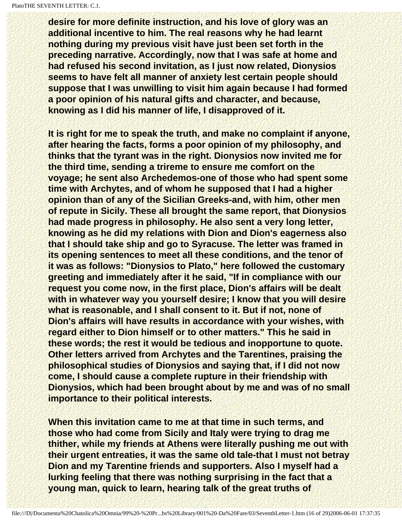**desire for more definite instruction, and his love of glory was an additional incentive to him. The real reasons why he had learnt nothing during my previous visit have just been set forth in the preceding narrative. Accordingly, now that I was safe at home and had refused his second invitation, as I just now related, Dionysios seems to have felt all manner of anxiety lest certain people should suppose that I was unwilling to visit him again because I had formed a poor opinion of his natural gifts and character, and because, knowing as I did his manner of life, I disapproved of it.** 

**It is right for me to speak the truth, and make no complaint if anyone, after hearing the facts, forms a poor opinion of my philosophy, and thinks that the tyrant was in the right. Dionysios now invited me for the third time, sending a trireme to ensure me comfort on the voyage; he sent also Archedemos-one of those who had spent some time with Archytes, and of whom he supposed that I had a higher opinion than of any of the Sicilian Greeks-and, with him, other men of repute in Sicily. These all brought the same report, that Dionysios had made progress in philosophy. He also sent a very long letter, knowing as he did my relations with Dion and Dion's eagerness also that I should take ship and go to Syracuse. The letter was framed in its opening sentences to meet all these conditions, and the tenor of it was as follows: "Dionysios to Plato," here followed the customary greeting and immediately after it he said, "If in compliance with our request you come now, in the first place, Dion's affairs will be dealt with in whatever way you yourself desire; I know that you will desire what is reasonable, and I shall consent to it. But if not, none of Dion's affairs will have results in accordance with your wishes, with regard either to Dion himself or to other matters." This he said in these words; the rest it would be tedious and inopportune to quote. Other letters arrived from Archytes and the Tarentines, praising the philosophical studies of Dionysios and saying that, if I did not now come, I should cause a complete rupture in their friendship with Dionysios, which had been brought about by me and was of no small importance to their political interests.** 

**When this invitation came to me at that time in such terms, and those who had come from Sicily and Italy were trying to drag me thither, while my friends at Athens were literally pushing me out with their urgent entreaties, it was the same old tale-that I must not betray Dion and my Tarentine friends and supporters. Also I myself had a lurking feeling that there was nothing surprising in the fact that a young man, quick to learn, hearing talk of the great truths of**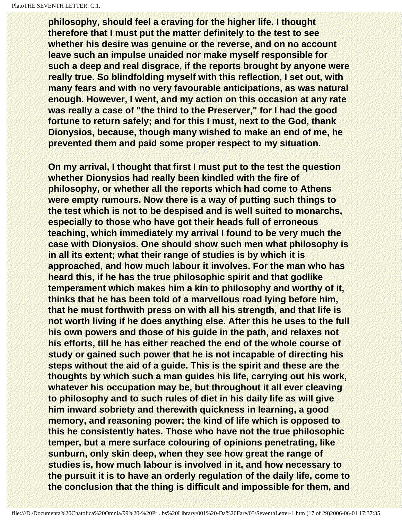**philosophy, should feel a craving for the higher life. I thought therefore that I must put the matter definitely to the test to see whether his desire was genuine or the reverse, and on no account leave such an impulse unaided nor make myself responsible for such a deep and real disgrace, if the reports brought by anyone were really true. So blindfolding myself with this reflection, I set out, with many fears and with no very favourable anticipations, as was natural enough. However, I went, and my action on this occasion at any rate was really a case of "the third to the Preserver," for I had the good fortune to return safely; and for this I must, next to the God, thank Dionysios, because, though many wished to make an end of me, he prevented them and paid some proper respect to my situation.** 

**On my arrival, I thought that first I must put to the test the question whether Dionysios had really been kindled with the fire of philosophy, or whether all the reports which had come to Athens were empty rumours. Now there is a way of putting such things to the test which is not to be despised and is well suited to monarchs, especially to those who have got their heads full of erroneous teaching, which immediately my arrival I found to be very much the case with Dionysios. One should show such men what philosophy is in all its extent; what their range of studies is by which it is approached, and how much labour it involves. For the man who has heard this, if he has the true philosophic spirit and that godlike temperament which makes him a kin to philosophy and worthy of it, thinks that he has been told of a marvellous road lying before him, that he must forthwith press on with all his strength, and that life is not worth living if he does anything else. After this he uses to the full his own powers and those of his guide in the path, and relaxes not his efforts, till he has either reached the end of the whole course of study or gained such power that he is not incapable of directing his steps without the aid of a guide. This is the spirit and these are the thoughts by which such a man guides his life, carrying out his work, whatever his occupation may be, but throughout it all ever cleaving to philosophy and to such rules of diet in his daily life as will give him inward sobriety and therewith quickness in learning, a good memory, and reasoning power; the kind of life which is opposed to this he consistently hates. Those who have not the true philosophic temper, but a mere surface colouring of opinions penetrating, like sunburn, only skin deep, when they see how great the range of studies is, how much labour is involved in it, and how necessary to the pursuit it is to have an orderly regulation of the daily life, come to the conclusion that the thing is difficult and impossible for them, and**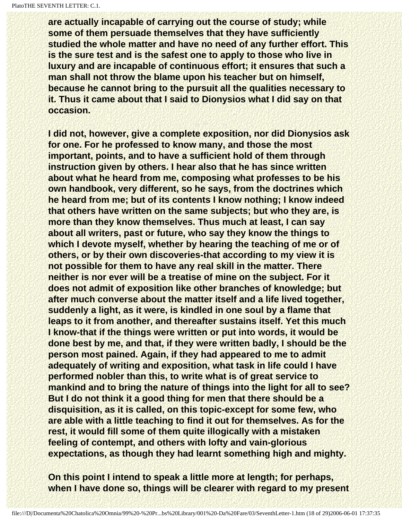**are actually incapable of carrying out the course of study; while some of them persuade themselves that they have sufficiently studied the whole matter and have no need of any further effort. This is the sure test and is the safest one to apply to those who live in luxury and are incapable of continuous effort; it ensures that such a man shall not throw the blame upon his teacher but on himself, because he cannot bring to the pursuit all the qualities necessary to it. Thus it came about that I said to Dionysios what I did say on that occasion.** 

**I did not, however, give a complete exposition, nor did Dionysios ask for one. For he professed to know many, and those the most important, points, and to have a sufficient hold of them through instruction given by others. I hear also that he has since written about what he heard from me, composing what professes to be his own handbook, very different, so he says, from the doctrines which he heard from me; but of its contents I know nothing; I know indeed that others have written on the same subjects; but who they are, is more than they know themselves. Thus much at least, I can say about all writers, past or future, who say they know the things to which I devote myself, whether by hearing the teaching of me or of others, or by their own discoveries-that according to my view it is not possible for them to have any real skill in the matter. There neither is nor ever will be a treatise of mine on the subject. For it does not admit of exposition like other branches of knowledge; but after much converse about the matter itself and a life lived together, suddenly a light, as it were, is kindled in one soul by a flame that leaps to it from another, and thereafter sustains itself. Yet this much I know-that if the things were written or put into words, it would be done best by me, and that, if they were written badly, I should be the person most pained. Again, if they had appeared to me to admit adequately of writing and exposition, what task in life could I have performed nobler than this, to write what is of great service to mankind and to bring the nature of things into the light for all to see? But I do not think it a good thing for men that there should be a disquisition, as it is called, on this topic-except for some few, who are able with a little teaching to find it out for themselves. As for the rest, it would fill some of them quite illogically with a mistaken feeling of contempt, and others with lofty and vain-glorious expectations, as though they had learnt something high and mighty.** 

**On this point I intend to speak a little more at length; for perhaps, when I have done so, things will be clearer with regard to my present**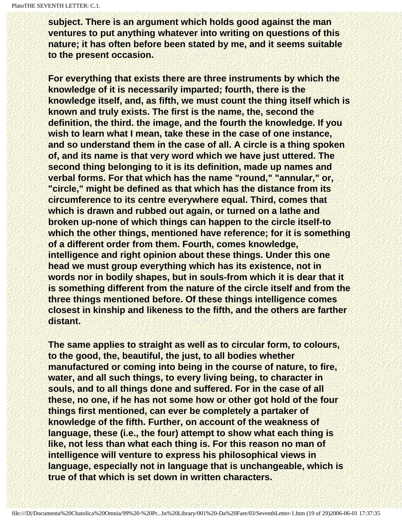**subject. There is an argument which holds good against the man ventures to put anything whatever into writing on questions of this nature; it has often before been stated by me, and it seems suitable to the present occasion.** 

**For everything that exists there are three instruments by which the knowledge of it is necessarily imparted; fourth, there is the knowledge itself, and, as fifth, we must count the thing itself which is known and truly exists. The first is the name, the, second the definition, the third. the image, and the fourth the knowledge. If you wish to learn what I mean, take these in the case of one instance, and so understand them in the case of all. A circle is a thing spoken of, and its name is that very word which we have just uttered. The second thing belonging to it is its definition, made up names and verbal forms. For that which has the name "round," "annular," or, "circle," might be defined as that which has the distance from its circumference to its centre everywhere equal. Third, comes that which is drawn and rubbed out again, or turned on a lathe and broken up-none of which things can happen to the circle itself-to which the other things, mentioned have reference; for it is something of a different order from them. Fourth, comes knowledge, intelligence and right opinion about these things. Under this one head we must group everything which has its existence, not in words nor in bodily shapes, but in souls-from which it is dear that it is something different from the nature of the circle itself and from the three things mentioned before. Of these things intelligence comes closest in kinship and likeness to the fifth, and the others are farther distant.** 

**The same applies to straight as well as to circular form, to colours, to the good, the, beautiful, the just, to all bodies whether manufactured or coming into being in the course of nature, to fire, water, and all such things, to every living being, to character in souls, and to all things done and suffered. For in the case of all these, no one, if he has not some how or other got hold of the four things first mentioned, can ever be completely a partaker of knowledge of the fifth. Further, on account of the weakness of language, these (i.e., the four) attempt to show what each thing is like, not less than what each thing is. For this reason no man of intelligence will venture to express his philosophical views in language, especially not in language that is unchangeable, which is true of that which is set down in written characters.**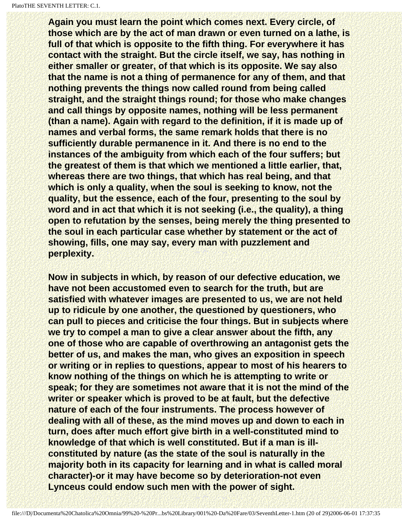**Again you must learn the point which comes next. Every circle, of those which are by the act of man drawn or even turned on a lathe, is full of that which is opposite to the fifth thing. For everywhere it has contact with the straight. But the circle itself, we say, has nothing in either smaller or greater, of that which is its opposite. We say also that the name is not a thing of permanence for any of them, and that nothing prevents the things now called round from being called straight, and the straight things round; for those who make changes and call things by opposite names, nothing will be less permanent (than a name). Again with regard to the definition, if it is made up of names and verbal forms, the same remark holds that there is no sufficiently durable permanence in it. And there is no end to the instances of the ambiguity from which each of the four suffers; but the greatest of them is that which we mentioned a little earlier, that, whereas there are two things, that which has real being, and that which is only a quality, when the soul is seeking to know, not the quality, but the essence, each of the four, presenting to the soul by word and in act that which it is not seeking (i.e., the quality), a thing open to refutation by the senses, being merely the thing presented to the soul in each particular case whether by statement or the act of showing, fills, one may say, every man with puzzlement and perplexity.** 

**Now in subjects in which, by reason of our defective education, we have not been accustomed even to search for the truth, but are satisfied with whatever images are presented to us, we are not held up to ridicule by one another, the questioned by questioners, who can pull to pieces and criticise the four things. But in subjects where we try to compel a man to give a clear answer about the fifth, any one of those who are capable of overthrowing an antagonist gets the better of us, and makes the man, who gives an exposition in speech or writing or in replies to questions, appear to most of his hearers to know nothing of the things on which he is attempting to write or speak; for they are sometimes not aware that it is not the mind of the writer or speaker which is proved to be at fault, but the defective nature of each of the four instruments. The process however of dealing with all of these, as the mind moves up and down to each in turn, does after much effort give birth in a well-constituted mind to knowledge of that which is well constituted. But if a man is illconstituted by nature (as the state of the soul is naturally in the majority both in its capacity for learning and in what is called moral character)-or it may have become so by deterioration-not even Lynceus could endow such men with the power of sight.**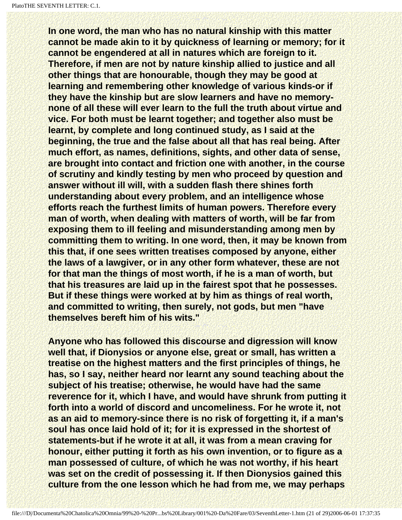**In one word, the man who has no natural kinship with this matter cannot be made akin to it by quickness of learning or memory; for it cannot be engendered at all in natures which are foreign to it. Therefore, if men are not by nature kinship allied to justice and all other things that are honourable, though they may be good at learning and remembering other knowledge of various kinds-or if they have the kinship but are slow learners and have no memorynone of all these will ever learn to the full the truth about virtue and vice. For both must be learnt together; and together also must be learnt, by complete and long continued study, as I said at the beginning, the true and the false about all that has real being. After much effort, as names, definitions, sights, and other data of sense, are brought into contact and friction one with another, in the course of scrutiny and kindly testing by men who proceed by question and answer without ill will, with a sudden flash there shines forth understanding about every problem, and an intelligence whose efforts reach the furthest limits of human powers. Therefore every man of worth, when dealing with matters of worth, will be far from exposing them to ill feeling and misunderstanding among men by committing them to writing. In one word, then, it may be known from this that, if one sees written treatises composed by anyone, either the laws of a lawgiver, or in any other form whatever, these are not for that man the things of most worth, if he is a man of worth, but that his treasures are laid up in the fairest spot that he possesses. But if these things were worked at by him as things of real worth, and committed to writing, then surely, not gods, but men "have themselves bereft him of his wits."** 

**Anyone who has followed this discourse and digression will know well that, if Dionysios or anyone else, great or small, has written a treatise on the highest matters and the first principles of things, he has, so I say, neither heard nor learnt any sound teaching about the subject of his treatise; otherwise, he would have had the same reverence for it, which I have, and would have shrunk from putting it forth into a world of discord and uncomeliness. For he wrote it, not as an aid to memory-since there is no risk of forgetting it, if a man's soul has once laid hold of it; for it is expressed in the shortest of statements-but if he wrote it at all, it was from a mean craving for honour, either putting it forth as his own invention, or to figure as a man possessed of culture, of which he was not worthy, if his heart was set on the credit of possessing it. If then Dionysios gained this culture from the one lesson which he had from me, we may perhaps**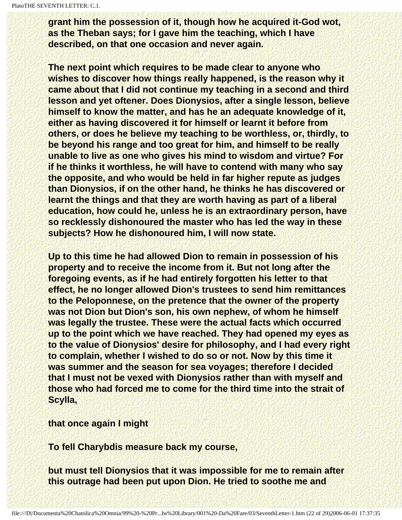**grant him the possession of it, though how he acquired it-God wot, as the Theban says; for I gave him the teaching, which I have described, on that one occasion and never again.** 

**The next point which requires to be made clear to anyone who wishes to discover how things really happened, is the reason why it came about that I did not continue my teaching in a second and third lesson and yet oftener. Does Dionysios, after a single lesson, believe himself to know the matter, and has he an adequate knowledge of it, either as having discovered it for himself or learnt it before from others, or does he believe my teaching to be worthless, or, thirdly, to be beyond his range and too great for him, and himself to be really unable to live as one who gives his mind to wisdom and virtue? For if he thinks it worthless, he will have to contend with many who say the opposite, and who would be held in far higher repute as judges than Dionysios, if on the other hand, he thinks he has discovered or learnt the things and that they are worth having as part of a liberal education, how could he, unless he is an extraordinary person, have so recklessly dishonoured the master who has led the way in these subjects? How he dishonoured him, I will now state.** 

**Up to this time he had allowed Dion to remain in possession of his property and to receive the income from it. But not long after the foregoing events, as if he had entirely forgotten his letter to that effect, he no longer allowed Dion's trustees to send him remittances to the Peloponnese, on the pretence that the owner of the property was not Dion but Dion's son, his own nephew, of whom he himself was legally the trustee. These were the actual facts which occurred up to the point which we have reached. They had opened my eyes as to the value of Dionysios' desire for philosophy, and I had every right to complain, whether I wished to do so or not. Now by this time it was summer and the season for sea voyages; therefore I decided that I must not be vexed with Dionysios rather than with myself and those who had forced me to come for the third time into the strait of Scylla,** 

**that once again I might** 

**To fell Charybdis measure back my course,** 

**but must tell Dionysios that it was impossible for me to remain after this outrage had been put upon Dion. He tried to soothe me and**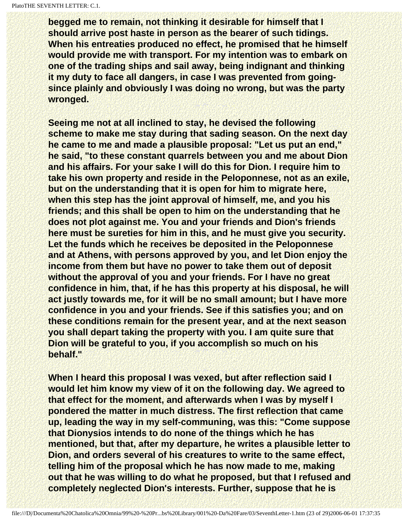**begged me to remain, not thinking it desirable for himself that I should arrive post haste in person as the bearer of such tidings. When his entreaties produced no effect, he promised that he himself would provide me with transport. For my intention was to embark on one of the trading ships and sail away, being indignant and thinking it my duty to face all dangers, in case I was prevented from goingsince plainly and obviously I was doing no wrong, but was the party wronged.** 

**Seeing me not at all inclined to stay, he devised the following scheme to make me stay during that sading season. On the next day he came to me and made a plausible proposal: "Let us put an end," he said, "to these constant quarrels between you and me about Dion and his affairs. For your sake I will do this for Dion. I require him to take his own property and reside in the Peloponnese, not as an exile, but on the understanding that it is open for him to migrate here, when this step has the joint approval of himself, me, and you his friends; and this shall be open to him on the understanding that he does not plot against me. You and your friends and Dion's friends here must be sureties for him in this, and he must give you security. Let the funds which he receives be deposited in the Peloponnese and at Athens, with persons approved by you, and let Dion enjoy the income from them but have no power to take them out of deposit without the approval of you and your friends. For I have no great confidence in him, that, if he has this property at his disposal, he will act justly towards me, for it will be no small amount; but I have more confidence in you and your friends. See if this satisfies you; and on these conditions remain for the present year, and at the next season you shall depart taking the property with you. I am quite sure that Dion will be grateful to you, if you accomplish so much on his behalf."** 

**When I heard this proposal I was vexed, but after reflection said I would let him know my view of it on the following day. We agreed to that effect for the moment, and afterwards when I was by myself I pondered the matter in much distress. The first reflection that came up, leading the way in my self-communing, was this: "Come suppose that Dionysios intends to do none of the things which he has mentioned, but that, after my departure, he writes a plausible letter to Dion, and orders several of his creatures to write to the same effect, telling him of the proposal which he has now made to me, making out that he was willing to do what he proposed, but that I refused and completely neglected Dion's interests. Further, suppose that he is**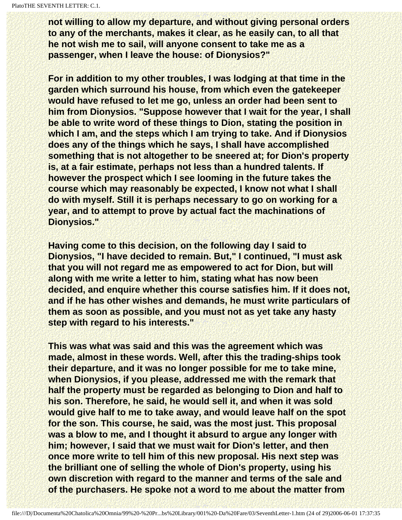**not willing to allow my departure, and without giving personal orders to any of the merchants, makes it clear, as he easily can, to all that he not wish me to sail, will anyone consent to take me as a passenger, when I leave the house: of Dionysios?"** 

**For in addition to my other troubles, I was lodging at that time in the garden which surround his house, from which even the gatekeeper would have refused to let me go, unless an order had been sent to him from Dionysios. "Suppose however that I wait for the year, I shall be able to write word of these things to Dion, stating the position in which I am, and the steps which I am trying to take. And if Dionysios does any of the things which he says, I shall have accomplished something that is not altogether to be sneered at; for Dion's property is, at a fair estimate, perhaps not less than a hundred talents. If however the prospect which I see looming in the future takes the course which may reasonably be expected, I know not what I shall do with myself. Still it is perhaps necessary to go on working for a year, and to attempt to prove by actual fact the machinations of Dionysios."** 

**Having come to this decision, on the following day I said to Dionysios, "I have decided to remain. But," I continued, "I must ask that you will not regard me as empowered to act for Dion, but will along with me write a letter to him, stating what has now been decided, and enquire whether this course satisfies him. If it does not, and if he has other wishes and demands, he must write particulars of them as soon as possible, and you must not as yet take any hasty step with regard to his interests."** 

**This was what was said and this was the agreement which was made, almost in these words. Well, after this the trading-ships took their departure, and it was no longer possible for me to take mine, when Dionysios, if you please, addressed me with the remark that half the property must be regarded as belonging to Dion and half to his son. Therefore, he said, he would sell it, and when it was sold would give half to me to take away, and would leave half on the spot for the son. This course, he said, was the most just. This proposal was a blow to me, and I thought it absurd to argue any longer with him; however, I said that we must wait for Dion's letter, and then once more write to tell him of this new proposal. His next step was the brilliant one of selling the whole of Dion's property, using his own discretion with regard to the manner and terms of the sale and of the purchasers. He spoke not a word to me about the matter from**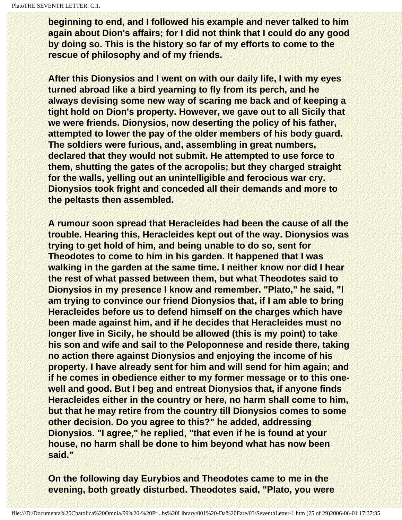**beginning to end, and I followed his example and never talked to him again about Dion's affairs; for I did not think that I could do any good by doing so. This is the history so far of my efforts to come to the rescue of philosophy and of my friends.** 

**After this Dionysios and I went on with our daily life, I with my eyes turned abroad like a bird yearning to fly from its perch, and he always devising some new way of scaring me back and of keeping a tight hold on Dion's property. However, we gave out to all Sicily that we were friends. Dionysios, now deserting the policy of his father, attempted to lower the pay of the older members of his body guard. The soldiers were furious, and, assembling in great numbers, declared that they would not submit. He attempted to use force to them, shutting the gates of the acropolis; but they charged straight for the walls, yelling out an unintelligible and ferocious war cry. Dionysios took fright and conceded all their demands and more to the peltasts then assembled.** 

**A rumour soon spread that Heracleides had been the cause of all the trouble. Hearing this, Heracleides kept out of the way. Dionysios was trying to get hold of him, and being unable to do so, sent for Theodotes to come to him in his garden. It happened that I was walking in the garden at the same time. I neither know nor did I hear the rest of what passed between them, but what Theodotes said to Dionysios in my presence I know and remember. "Plato," he said, "I am trying to convince our friend Dionysios that, if I am able to bring Heracleides before us to defend himself on the charges which have been made against him, and if he decides that Heracleides must no longer live in Sicily, he should be allowed (this is my point) to take his son and wife and sail to the Peloponnese and reside there, taking no action there against Dionysios and enjoying the income of his property. I have already sent for him and will send for him again; and if he comes in obedience either to my former message or to this onewell and good. But I beg and entreat Dionysios that, if anyone finds Heracleides either in the country or here, no harm shall come to him, but that he may retire from the country till Dionysios comes to some other decision. Do you agree to this?" he added, addressing Dionysios. "I agree," he replied, "that even if he is found at your house, no harm shall be done to him beyond what has now been said."** 

**On the following day Eurybios and Theodotes came to me in the evening, both greatly disturbed. Theodotes said, "Plato, you were**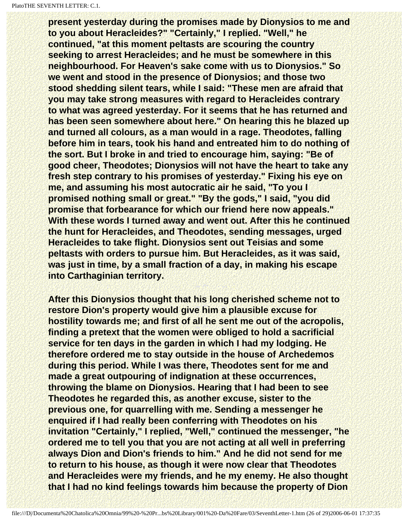**present yesterday during the promises made by Dionysios to me and to you about Heracleides?" "Certainly," I replied. "Well," he continued, "at this moment peltasts are scouring the country seeking to arrest Heracleides; and he must be somewhere in this neighbourhood. For Heaven's sake come with us to Dionysios." So we went and stood in the presence of Dionysios; and those two stood shedding silent tears, while I said: "These men are afraid that you may take strong measures with regard to Heracleides contrary to what was agreed yesterday. For it seems that he has returned and has been seen somewhere about here." On hearing this he blazed up and turned all colours, as a man would in a rage. Theodotes, falling before him in tears, took his hand and entreated him to do nothing of the sort. But I broke in and tried to encourage him, saying: "Be of good cheer, Theodotes; Dionysios will not have the heart to take any fresh step contrary to his promises of yesterday." Fixing his eye on me, and assuming his most autocratic air he said, "To you I promised nothing small or great." "By the gods," I said, "you did promise that forbearance for which our friend here now appeals." With these words I turned away and went out. After this he continued the hunt for Heracleides, and Theodotes, sending messages, urged Heracleides to take flight. Dionysios sent out Teisias and some peltasts with orders to pursue him. But Heracleides, as it was said, was just in time, by a small fraction of a day, in making his escape into Carthaginian territory.** 

**After this Dionysios thought that his long cherished scheme not to restore Dion's property would give him a plausible excuse for hostility towards me; and first of all he sent me out of the acropolis, finding a pretext that the women were obliged to hold a sacrificial service for ten days in the garden in which I had my lodging. He therefore ordered me to stay outside in the house of Archedemos during this period. While I was there, Theodotes sent for me and made a great outpouring of indignation at these occurrences, throwing the blame on Dionysios. Hearing that I had been to see Theodotes he regarded this, as another excuse, sister to the previous one, for quarrelling with me. Sending a messenger he enquired if I had really been conferring with Theodotes on his invitation "Certainly," I replied, "Well," continued the messenger, "he ordered me to tell you that you are not acting at all well in preferring always Dion and Dion's friends to him." And he did not send for me to return to his house, as though it were now clear that Theodotes and Heracleides were my friends, and he my enemy. He also thought that I had no kind feelings towards him because the property of Dion**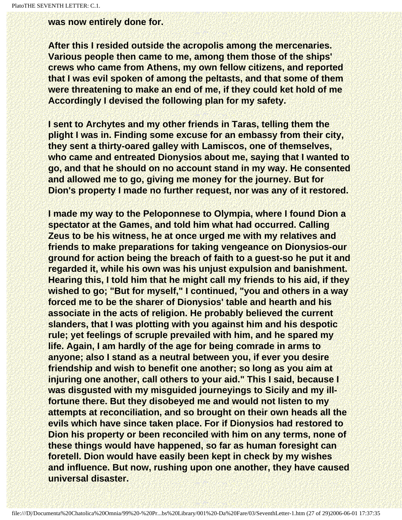#### **was now entirely done for.**

**After this I resided outside the acropolis among the mercenaries. Various people then came to me, among them those of the ships' crews who came from Athens, my own fellow citizens, and reported that I was evil spoken of among the peltasts, and that some of them were threatening to make an end of me, if they could ket hold of me Accordingly I devised the following plan for my safety.** 

**I sent to Archytes and my other friends in Taras, telling them the plight I was in. Finding some excuse for an embassy from their city, they sent a thirty-oared galley with Lamiscos, one of themselves, who came and entreated Dionysios about me, saying that I wanted to go, and that he should on no account stand in my way. He consented and allowed me to go, giving me money for the journey. But for Dion's property I made no further request, nor was any of it restored.** 

**I made my way to the Peloponnese to Olympia, where I found Dion a spectator at the Games, and told him what had occurred. Calling Zeus to be his witness, he at once urged me with my relatives and friends to make preparations for taking vengeance on Dionysios-our ground for action being the breach of faith to a guest-so he put it and regarded it, while his own was his unjust expulsion and banishment. Hearing this, I told him that he might call my friends to his aid, if they wished to go; "But for myself," I continued, "you and others in a way forced me to be the sharer of Dionysios' table and hearth and his associate in the acts of religion. He probably believed the current slanders, that I was plotting with you against him and his despotic rule; yet feelings of scruple prevailed with him, and he spared my life. Again, I am hardly of the age for being comrade in arms to anyone; also I stand as a neutral between you, if ever you desire friendship and wish to benefit one another; so long as you aim at injuring one another, call others to your aid." This I said, because I was disgusted with my misguided journeyings to Sicily and my illfortune there. But they disobeyed me and would not listen to my attempts at reconciliation, and so brought on their own heads all the evils which have since taken place. For if Dionysios had restored to Dion his property or been reconciled with him on any terms, none of these things would have happened, so far as human foresight can foretell. Dion would have easily been kept in check by my wishes and influence. But now, rushing upon one another, they have caused universal disaster.**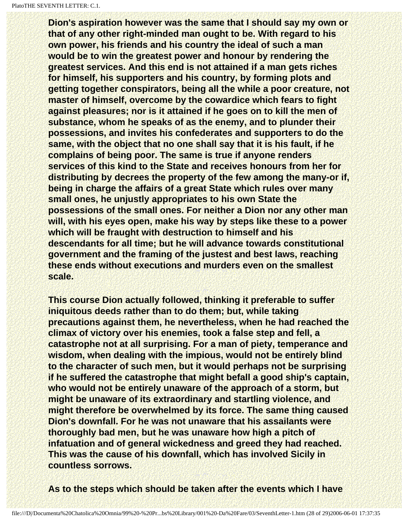**Dion's aspiration however was the same that I should say my own or that of any other right-minded man ought to be. With regard to his own power, his friends and his country the ideal of such a man would be to win the greatest power and honour by rendering the greatest services. And this end is not attained if a man gets riches for himself, his supporters and his country, by forming plots and getting together conspirators, being all the while a poor creature, not master of himself, overcome by the cowardice which fears to fight against pleasures; nor is it attained if he goes on to kill the men of substance, whom he speaks of as the enemy, and to plunder their possessions, and invites his confederates and supporters to do the same, with the object that no one shall say that it is his fault, if he complains of being poor. The same is true if anyone renders services of this kind to the State and receives honours from her for distributing by decrees the property of the few among the many-or if, being in charge the affairs of a great State which rules over many small ones, he unjustly appropriates to his own State the possessions of the small ones. For neither a Dion nor any other man will, with his eyes open, make his way by steps like these to a power which will be fraught with destruction to himself and his descendants for all time; but he will advance towards constitutional government and the framing of the justest and best laws, reaching these ends without executions and murders even on the smallest scale.** 

**This course Dion actually followed, thinking it preferable to suffer iniquitous deeds rather than to do them; but, while taking precautions against them, he nevertheless, when he had reached the climax of victory over his enemies, took a false step and fell, a catastrophe not at all surprising. For a man of piety, temperance and wisdom, when dealing with the impious, would not be entirely blind to the character of such men, but it would perhaps not be surprising if he suffered the catastrophe that might befall a good ship's captain, who would not be entirely unaware of the approach of a storm, but might be unaware of its extraordinary and startling violence, and might therefore be overwhelmed by its force. The same thing caused Dion's downfall. For he was not unaware that his assailants were thoroughly bad men, but he was unaware how high a pitch of infatuation and of general wickedness and greed they had reached. This was the cause of his downfall, which has involved Sicily in countless sorrows.** 

**As to the steps which should be taken after the events which I have**